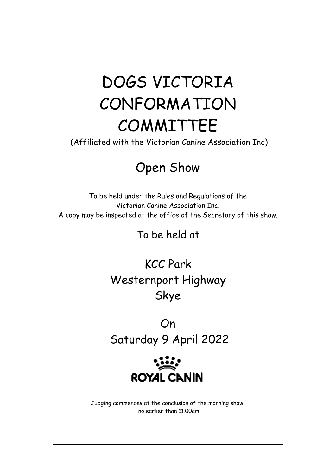# DOGS VICTORIA CONFORMATION COMMITTEE

(Affiliated with the Victorian Canine Association Inc)

# Open Show

To be held under the Rules and Regulations of the Victorian Canine Association Inc. A copy may be inspected at the office of the Secretary of this show.

To be held at

KCC Park Westernport Highway Skye

On Saturday 9 April 2022



Judging commences at the conclusion of the morning show, no earlier than 11.00am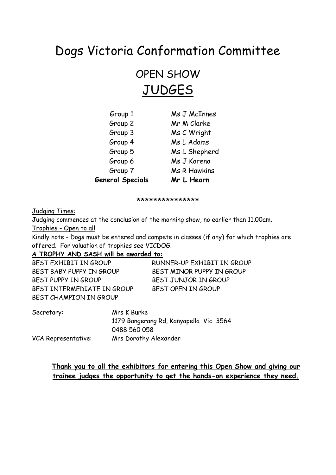## Dogs Victoria Conformation Committee

## OPEN SHOW **JUDGES**

| Group 1                 | Ms J McInnes        |
|-------------------------|---------------------|
| Group 2                 | Mr M Clarke         |
| Group 3                 | Ms C Wright         |
| Group 4                 | Ms L Adams          |
| Group 5                 | Ms L Shepherd       |
| Group 6                 | Ms J Karena         |
| Group 7                 | <b>Ms R Hawkins</b> |
| <b>General Specials</b> | Mr L Hearn          |

\*\*\*\*\*\*\*\*\*\*\*\*\*\*\*

Judging Times:

Judging commences at the conclusion of the morning show, no earlier than 11.00am. Trophies - Open to all

Kindly note - Dogs must be entered and compete in classes (if any) for which trophies are offered. For valuation of trophies see VICDOG.

## **A TROPHY AND SASH will be awarded to:**

| BEST EXHIBIT IN GROUP      | RUNNER-UP EXHIBIT IN GROUP |
|----------------------------|----------------------------|
| BEST BABY PUPPY IN GROUP   | BEST MINOR PUPPY IN GROUP  |
| BEST PUPPY IN GROUP        | BEST JUNJOR IN GROUP       |
| BEST INTERMEDIATE IN GROUP | BEST OPEN IN GROUP         |
| BEST CHAMPION IN GROUP     |                            |

| Secretary:          | Mrs K Burke                            |  |  |  |  |
|---------------------|----------------------------------------|--|--|--|--|
|                     | 1179 Bangerang Rd, Kanyapella Vic 3564 |  |  |  |  |
|                     | 0488 560 058                           |  |  |  |  |
| VCA Representative: | Mrs Dorothy Alexander                  |  |  |  |  |

## **Thank you to all the exhibitors for entering this Open Show and giving our trainee judges the opportunity to get the hands-on experience they need.**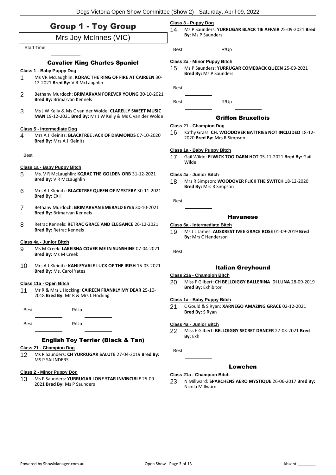| <b>Group 1 - Toy Group</b> |  |  |  |  |
|----------------------------|--|--|--|--|
|----------------------------|--|--|--|--|

## Mrs Joy McInnes (VIC)

#### Start Time:

#### Cavalier King Charles Spaniel

#### **Class 1 - Baby Puppy Dog**

- 1 Ms VR McLaughlin: **KQRAC THE RING OF FIRE AT CAIREEN** 30- 12-2021 **Bred By:** V R McLaughlin
- 2 Bethany Murdoch: **BRIMARVAN FOREVER YOUNG** 30-10-2021 **Bred By:** Brimarvan Kennels
- 3 Ms J W Kelly & Ms C van der Wolde: **CLARELLY SWEET MUSIC MAN** 19-12-2021 **Bred By:** Ms J W Kelly & Ms C van der Wolde

#### **Class 5 - Intermediate Dog**

4 Mrs A J Kleinitz: **BLACKTREE JACK OF DIAMONDS** 07-10-2020 **Bred By:** Mrs A J Kleinitz

Best

#### **Class 1a - Baby Puppy Bitch**

- 5 Ms. V R McLaughlin: **KQRAC THE GOLDEN ORB** 31-12-2021 **Bred By:** V R McLaughlin
- 6 Mrs A J Kleinitz: **BLACKTREE QUEEN OF MYSTERY** 30-11-2021 **Bred By:** EXH
- 7 Bethany Murdoch: **BRIMARVAN EMERALD EYES** 30-10-2021 **Bred By:** Brimarvan Kennels
- 8 Retrac Kennels: **RETRAC GRACE AND ELEGANCE** 26-12-2021 **Bred By:** Retrac Kennels

#### **Class 4a - Junior Bitch**

- 9 Ms M Creek: **LAKEISHA COVER ME IN SUNSHINE** 07-04-2021 **Bred By:** Ms M Creek
- 10 Mrs A J Kleinitz: **KAHLEYVALE LUCK OF THE IRISH** 15-03-2021 **Bred By:** Ms. Carol Yates

#### **Class 11a - Open Bitch**

11 Mr R & Mrs L Hocking: **CAIREEN FRANKLY MY DEAR** 25-10- 2018 **Bred By:** Mr R & Mrs L Hocking

| <b>Best</b> | R/Up |  |
|-------------|------|--|
| <b>Best</b> | R/Up |  |

#### English Toy Terrier (Black & Tan)

#### **Class 21 - Champion Dog**

12 Ms P Saunders: **CH YURRUGAR SALUTE** 27-04-2019 **Bred By:** MS P SAUNDERS

#### **Class 2 - Minor Puppy Dog**

13 Ms P Saunders: **YURRUGAR LONE STAR INVINCIBLE** 25-09- 2021 **Bred By:** Ms P Saunders

#### **Class 3 - Puppy Dog**

14 Ms P Saunders: **YURRUGAR BLACK TIE AFFAIR** 25-09-2021 **Bred By:** Ms P Saunders

Best R/Up

#### **Class 2a - Minor Puppy Bitch**

15 Ms P Saunders: **YURRUGAR COMEBACK QUEEN** 25-09-2021 **Bred By:** Ms P Saunders

Best

Best R/Up

Griffon Bruxellois

#### **Class 21 - Champion Dog**

16 Kathy Grass: **CH. WOODOVER BATTRIES NOT INCLUDED** 18-12- 2020 **Bred By:** Mrs R Simpson

#### **Class 1a - Baby Puppy Bitch**

17 Gail Wilde: **ELWICK TOO DARN HOT** 05-11-2021 **Bred By:** Gail Wilde

#### **Class 4a - Junior Bitch**

18 Mrs R Simpson: **WOODOVER FLICK THE SWITCH** 18-12-2020 **Bred By:** Mrs R Simpson

Best

#### Havanese

- **Class 5a - Intermediate Bitch**
- 19 Ms J L James: **AUSKREST IVEE GRACE ROSE** 01-09-2019 **Bred By:** Mrs C Henderson

Best

#### Italian Greyhound

#### **Class 21a - Champion Bitch**

20 Miss F Gilbert: **CH BELLOIGGY BALLERINA DI LUNA** 28-09-2019 **Bred By:** Exhibitor

#### **Class 1a - Baby Puppy Bitch**

21 C Gould & S Ryan: **XARNEGO AMAZING GRACE** 02-12-2021 **Bred By:** S Ryan

#### **Class 4a - Junior Bitch**

22 Miss F Gilbert: **BELLOIGGY SECRET DANCER** 27-03-2021 **Bred By:** Exh

Best

#### Lowchen

#### **Class 21a - Champion Bitch**

23 N Millward: **SPARCHENS AERO MYSTIQUE** 26-06-2017 **Bred By:** Nicola Millward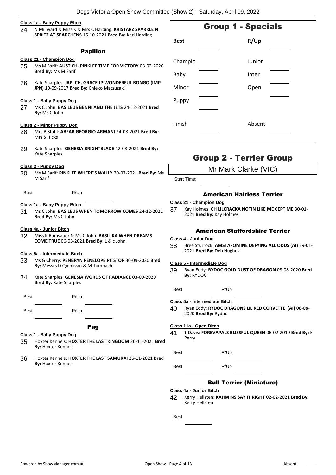#### **Class 1a - Baby Puppy Bitch**

24 N Millward & Miss K & Mrs C Harding: **KRISTARZ SPARKLE N SPRITZ AT SPARCHENS** 16-10-2021 **Bred By:** Kari Harding

#### Papillon

#### **Class 21 - Champion Dog**

- 25 Ms M Sarif: **AUST CH. PINKLEE TIME FOR VICTORY** 08-02-2020 **Bred By:** Ms M Sarif
- 26 Kate Sharples: **JAP. CH. GRACE JP WONDERFUL BONGO (IMP JPN)** 10-09-2017 **Bred By:** Chieko Matsuzaki

#### **Class 1 - Baby Puppy Dog**

27 Ms C John: **BASILEUS BENNI AND THE JETS** 24-12-2021 **Bred By:** Ms C John

#### **Class 2 - Minor Puppy Dog**

- 28 Mrs B Stahl: **ABFAB GEORGIO ARMANI** 24-08-2021 **Bred By:** Mrs S Hicks
- 29 Kate Sharples: **GENESIA BRIGHTBLADE** 12-08-2021 **Bred By:** Kate Sharples

#### **Class 3 - Puppy Dog**

- 30 Ms M Sarif: **PINKLEE WHERE'S WALLY** 20-07-2021 **Bred By:** Ms M Sarif
- Best R/Up

#### **Class 1a - Baby Puppy Bitch**

31 Ms C John: **BASILEUS WHEN TOMORROW COMES** 24-12-2021 **Bred By:** Ms C John

#### **Class 4a - Junior Bitch**

32 Miss K Ramsauer & Ms C John: **BASILIKA WHEN DREAMS COME TRUE** 06-03-2021 **Bred By:** L & c John

#### **Class 5a - Intermediate Bitch**

- 33 Ms G Cherry: **PENBRYN PENELOPE PITSTOP** 30-09-2020 **Bred By:** Messrs D Quinlivan & M Tumpach
- 34 Kate Sharples: **GENESIA WORDS OF RADIANCE** 03-09-2020 **Bred By:** Kate Sharples
- Best R/Up Best R/Up

#### Pug

#### **Class 1 - Baby Puppy Dog**

- 35 Hoxter Kennels: **HOXTER THE LAST KINGDOM** 26-11-2021 **Bred By:** Hoxter Kennels
- 36 Hoxter Kennels: **HOXTER THE LAST SAMURAI** 26-11-2021 **Bred By:** Hoxter Kennels

| <b>Best</b> | R/Up   |  |
|-------------|--------|--|
|             |        |  |
| Champio     | Junior |  |
| Baby        | Inter  |  |
| Minor       | Open   |  |
| Puppy       |        |  |
|             |        |  |
| Finish      | Absent |  |
|             |        |  |

## Group 2 - Terrier Group

Mr Mark Clarke (VIC)

Start Time:

#### American Hairless Terrier

#### **Class 21 - Champion Dog**

37 Kay Holmes: **CH LILCRACKA NOTIN LIKE ME CEPT ME** 30-01- 2021 **Bred By:** Kay Holmes

#### American Staffordshire Terrier

#### **Class 4 - Junior Dog**

38 Bree Sturrock: **AMSTAFOMINE DEFYING ALL ODDS (AI)** 29-01- 2021 **Bred By:** Deb Hughes

#### **Class 5 - Intermediate Dog**

39 Ryan Eddy: **RYDOC GOLD DUST OF DRAGON** 08-08-2020 **Bred By:** RYDOC

Best R/Up

#### **Class 5a - Intermediate Bitch**

40 Ryan Eddy: **RYDOC DRAGONS LIL RED CORVETTE (AI)** 08-08- 2020 **Bred By:** Rydoc

#### **Class 11a - Open Bitch**

41 T Davis: **FOREVAPALS BLISSFUL QUEEN** 06-02-2019 **Bred By:** E Perry

Best R/Up

Best R/Up

#### Bull Terrier (Miniature)

**Class 4a - Junior Bitch**

42 Kerry Hellsten: **KAHMINS SAY IT RIGHT** 02-02-2021 **Bred By:** Kerry Hellsten

Best

## Group 1 - Specials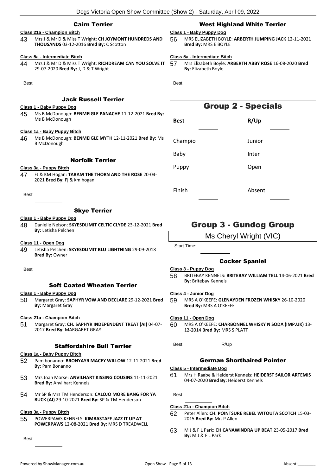#### Cairn Terrier

#### **Class 21a - Champion Bitch**

43 Mrs J & Mr D & Miss T Wright: **CH JOYMONT HUNDREDS AND THOUSANDS** 03-12-2016 **Bred By:** C Scotton

#### **Class 5a - Intermediate Bitch**

44 Mrs J & Mr D & Miss T Wright: **RICHDREAM CAN YOU SOLVE IT** 29-07-2020 **Bred By:** J, D & T Wright

#### **Best**

#### Jack Russell Terrier

#### **Class 1 - Baby Puppy Dog**

45 Ms B McDonough: **BENMEIGLE PANACHE** 11-12-2021 **Bred By:** Ms B McDonough

#### **Class 1a - Baby Puppy Bitch**

46 Ms B McDonough: **BENMEIGLE MYTH** 12-11-2021 **Bred By:** Ms B McDonough

## Norfolk Terrier

#### **Class 3a - Puppy Bitch**

47 FJ & KM Hogan: **TARAM THE THORN AND THE ROSE** 20-04- 2021 **Bred By:** Fj & km hogan

**Best** 

#### Skye Terrier

#### **Class 1 - Baby Puppy Dog**

48 Danielle Nelson: **SKYESDLIMIT CELTIC CLYDE** 23-12-2021 **Bred By:** Letisha Pelchen

#### **Class 11 - Open Dog**

49 Letisha Pelchen: **SKYESDLIMIT BLU LIGHTNING** 29-09-2018 **Bred By:** Owner

#### Best

### Soft Coated Wheaten Terrier

#### **Class 1 - Baby Puppy Dog**

50 Margaret Gray: **SAPHYR VOW AND DECLARE** 29-12-2021 **Bred By:** Margaret Gray

#### **Class 21a - Champion Bitch**

51 Margaret Gray: **CH. SAPHYR INDEPENDENT TREAT (AI)** 04-07- 2017 **Bred By:** MARGARET GRAY

#### Staffordshire Bull Terrier

#### **Class 1a - Baby Puppy Bitch**

- 52 Pam bonanno: **BRONYAYR MACEY WILLOW** 12-11-2021 **Bred By:** Pam Bonanno
- 53 Mrs Joan Morse: **ANVILHART KISSING COUSINS** 11-11-2021 **Bred By:** Anvilhart Kennels
- 54 Mr SP & Mrs TM Henderson: **CALOJO MORE BANG FOR YA BUCK (AI)** 29-10-2021 **Bred By:** SP & TM Henderson

### **Class 3a - Puppy Bitch**

55 POWERPAWS KENNELS: **KIMBASTAFF JAZZ IT UP AT POWERPAWS** 12-08-2021 **Bred By:** MRS D TREADWELL

Best

### West Highland White Terrier

#### **Class 1 - Baby Puppy Dog**

56 MRS ELIZABETH BOYLE: **ARBERTH JUMPING JACK** 12-11-2021 **Bred By:** MRS E BOYLE

#### **Class 5a - Intermediate Bitch**

57 Mrs Elizabeth Boyle: **ARBERTH ABBY ROSE** 16-08-2020 **Bred By:** Elizabeth Boyle

Best

## Group 2 - Specials

| <b>Best</b> | R/Up   |  |
|-------------|--------|--|
|             |        |  |
| Champio     | Junior |  |
| Baby        | Inter  |  |
| Puppy       | Open   |  |
|             |        |  |
| Finish      | Absent |  |
|             |        |  |

## Group 3 - Gundog Group

### Ms Cheryl Wright (VIC)

Start Time:

#### Cocker Spaniel

#### **Class 3 - Puppy Dog**

58 BRITEBAY KENNELS: **BRITEBAY WILLIAM TELL** 14-06-2021 **Bred By:** Britebay Kennels

#### **Class 4 - Junior Dog**

59 MRS A O'KEEFE: **GLENAYDEN FROZEN WHISKY** 26-10-2020 **Bred By:** MRS A O'KEEFE

#### **Class 11 - Open Dog**

60 MRS A O'KEEFE: **CHARBONNEL WHISKY N SODA (IMP.UK)** 13- 12-2014 **Bred By:** MRS S PLATT

Best R/Up

#### German Shorthaired Pointer

#### **Class 5 - Intermediate Dog**

61 Mrs H Raabe & Heiderst Kennels: **HEIDERST SAILOR ARTEMIS** 04-07-2020 **Bred By:** Heiderst Kennels

**Best** 

#### **Class 21a - Champion Bitch**

- 62 Peter Allen: **CH. POINTSURE REBEL WITOUTA SCOTCH** 15-03- 2015 **Bred By:** Mr. P Allen
- 63 M J & F L Park: **CH CANAWINDRA UP BEAT** 23-05-2017 **Bred By:** M J & F L Park
- 
- -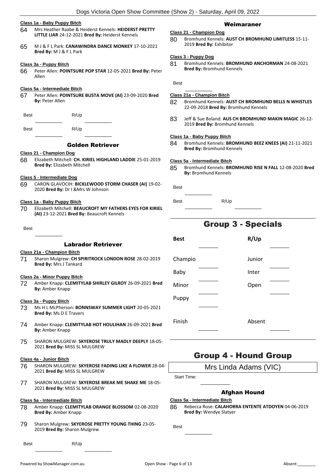#### **Class 1a - Baby Puppy Bitch**

- 64 Mrs Heather Raabe & Heiderst Kennels: **HEIDERST PRETTY LITTLE LIAR** 24-12-2021 **Bred By:** Heiderst Kennels
- 65 M J & F L Park: **CANAWINDRA DANCE MONKEY** 17-10-2021 **Bred By:** M J & F L Park

#### **Class 3a - Puppy Bitch**

66 Peter Allen: **POINTSURE POP STAR** 12-05-2021 **Bred By:** Peter Allen

#### **Class 5a - Intermediate Bitch**

67 Peter Allen: **POINTSURE BUSTA MOVE (AI)** 23-09-2020 **Bred By:** Peter Allen

Best R/Up

Best R/Up

Golden Retriever

#### **Class 21 - Champion Dog**

68 Elizabeth Mitchell: **CH. KIRIEL HIGHLAND LADDIE** 25-01-2019 **Bred By:** Elizabeth Mitchell

#### **Class 5 - Intermediate Dog**

69 CARON GLAVOCIH: **BICKLEWOOD STORM CHASER (AI)** 19-02- 2020 **Bred By:** Dr I &Mrs W Johnson

#### **Class 1a - Baby Puppy Bitch**

70 Elizabeth Mitchell: **BEAUCROFT MY FATHERS EYES FOR KIRIEL (AI)** 23-12-2021 **Bred By:** Beaucroft Kennels

#### Best

#### Labrador Retriever

#### **Class 21a - Champion Bitch**

71 Sharon Mulgrew: **CH SPIRITROCK LONDON ROSE** 28-02-2019 **Bred By:** Mrs J Tankard

#### **Class 2a - Minor Puppy Bitch**

72 Amber Knapp: **CLEMITYLAB SHIRLEY GILROY** 26-09-2021 **Bred By:** Amber Knapp

#### **Class 3a - Puppy Bitch**

- 73 Ms H L McPherson: **BONNSWAY SUMMER LIGHT** 20-05-2021 **Bred By:** Ms D E Travers
- 74 Amber Knapp: **CLEMITYLAB HOT HOULIHAN** 26-09-2021 **Bred By:** Amber Knapp
- 75 SHARON MULGREW: **SKYEROSE TRULY MADLY DEEPLY** 18-05- 2021 **Bred By:** MISS SL MULGREW

#### **Class 4a - Junior Bitch**

- 76 SHARON MULGREW: **SKYEROSE FADING LIKE A FLOWER** 28-04- 2021 **Bred By:** MISS SL MULGREW
- 77 SHARON MULGREW: **SKYEROSE BREAK ME SHAKE ME** 18-05- 2021 **Bred By:** MISS SL MULGREW

#### **Class 5a - Intermediate Bitch**

- 78 Amber Knapp: **CLEMITYLAB ORANGE BLOSSOM** 02-08-2020 **Bred By:** Amber Knapp
- 79 Sharon Mulgrew: **SKYEROSE PRETTY YOUNG THING** 23-05- 2019 **Bred By:** Sharon Mulgrew

#### Best R/Up

#### Weimaraner

#### **Class 21 - Champion Dog**

80 Bromhund Kennels: **AUST CH BROMHUND LIMITLESS** 15-11- 2019 **Bred By:** Exhibitor

#### **Class 3 - Puppy Dog**

81 Bromhund Kennels: **BROMHUND ANCHORMAN** 24-08-2021 **Bred By:** Bromhund Kennels

Best

#### **Class 21a - Champion Bitch**

- 82 Bromhund Kennels: **AUST CH BROMHUND BELLS N WHISTLES** 22-09-2018 **Bred By:** Bromhund Kennels
- 83 Jeff & Sue Boland: **AUS CH BROMHUND MAKIN MAGIC** 26-12- 2019 **Bred By:** Bromhund Kennels

#### **Class 1a - Baby Puppy Bitch**

84 Bromhund Kennels: **BROMHUND BEEZ KNEES (AI)** 21-11-2021 **Bred By:** Bromhund Kennels

#### **Class 5a - Intermediate Bitch**

85 Bromhund Kennels: **BROMHUND RISE N FALL** 12-08-2020 **Bred By:** Bromhund Kennels

| <b>Best</b> |      |
|-------------|------|
| <b>Best</b> | R/Up |

## Group 3 - Specials

| <b>Best</b> | R/Up   |  |
|-------------|--------|--|
|             |        |  |
| Champio     | Junior |  |
| Baby        | Inter  |  |
| Minor       | Open   |  |
| Puppy       |        |  |
|             |        |  |
| Finish      | Absent |  |

## Group 4 - Hound Group

Mrs Linda Adams (VIC)

Start Time:

#### Afghan Hound

#### **Class 5a - Intermediate Bitch**

86 Rebecca Rose: **CALAHORRA ENTENTE ATDOYEN** 04-06-2019 **Bred By:** Wendye Slatyer

**Best** 

|  |  | $\overline{c}$<br> |
|--|--|--------------------|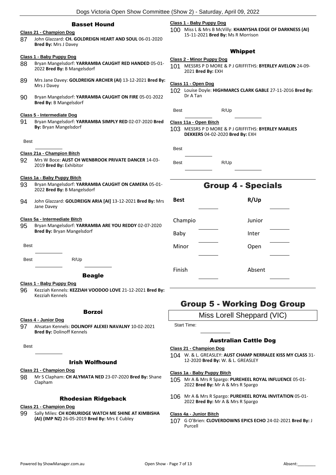#### Basset Hound

#### **Class 21 - Champion Dog**

87 John Glazzard: **CH. GOLDREIGN HEART AND SOUL** 06-01-2020 **Bred By:** Mrs J Davey

#### **Class 1 - Baby Puppy Dog**

- 88 Bryan Mangelsdorf: **YARRAMBA CAUGHT RED HANDED** 05-01- 2022 **Bred By:** B Mangelsdorf
- 89 Mrs Jane Davey: **GOLDREIGN ARCHER (AI)** 13-12-2021 **Bred By:** Mrs J Davey
- 90 Bryan Mangelsdorf: **YARRAMBA CAUGHT ON FIRE** 05-01-2022 **Bred By:** B Mangelsdorf

#### **Class 5 - Intermediate Dog**

91 Bryan Mangelsdorf: **YARRAMBA SIMPLY RED** 02-07-2020 **Bred By:** Bryan Mangelsdorf

#### Best

#### **Class 21a - Champion Bitch**

92 Mrs W Boce: **AUST CH WENBROOK PRIVATE DANCER** 14-03- 2019 **Bred By:** Exhibitor

#### **Class 1a - Baby Puppy Bitch**

- 93 Bryan Mangelsdorf: **YARRAMBA CAUGHT ON CAMERA** 05-01- 2022 **Bred By:** B Mangelsdorf
- 94 John Glazzard: **GOLDREIGN ARIA [AI]** 13-12-2021 **Bred By:** Mrs Jane Davey

#### **Class 5a - Intermediate Bitch**

95 Bryan Mangelsdorf: **YARRAMBA ARE YOU REDDY** 02-07-2020 **Bred By:** Bryan Mangelsdorf

**Best** 

Best R/Up

**Class 1 - Baby Puppy Dog** 96 Kezziah Kennels: **KEZZIAH VOODOO LOVE** 21-12-2021 **Bred By:** Kezziah Kennels

#### Borzoi

#### **Class 4 - Junior Dog**

97 Ahsatan Kennels: **DOLINOFF ALEXEI NAVALNY** 10-02-2021 **Bred By:** Dolinoff Kennels

**Best** 

#### Irish Wolfhound

#### **Class 21 - Champion Dog**

98 Mr S Clapham: **CH ALYMATA NED** 23-07-2020 **Bred By:** Shane Clapham

#### Rhodesian Ridgeback

#### **Class 21 - Champion Dog**

99 Sally Miles: **CH KORURIDGE WATCH ME SHINE AT KIMBISHA (AI) (IMP NZ)** 26-05-2019 **Bred By:** Mrs E Cubley

#### **Class 1 - Baby Puppy Dog**

100 Miss L & Mrs B McVilly: **KHANYSHA EDGE OF DARKNESS (AI)** 15-11-2021 **Bred By:** Ms R Morrison

#### Whippet

#### **Class 2 - Minor Puppy Dog**

101 MESSRS P D MORE & P J GRIFFITHS: **BYERLEY AVELON** 24-09- 2021 **Bred By:** EXH

#### **Class 11 - Open Dog**

102 Louise Doyle: **HIGHMARCS CLARK GABLE** 27-11-2016 **Bred By:** Dr A Tan

| Best | R/Up |
|------|------|
|      |      |

#### **Class 11a - Open Bitch**

103 MESSRS P D MORE & P J GRIFFITHS: **BYERLEY MARLIES DEKKERS** 04-02-2020 **Bred By:** EXH

Best R/Up

## Group 4 - Specials

| <b>Best</b> | R/Up   |  |
|-------------|--------|--|
|             |        |  |
| Champio     | Junior |  |
| Baby        | Inter  |  |
| Minor       | Open   |  |
|             |        |  |
| Finish      | Absent |  |
|             |        |  |

## Group 5 - Working Dog Group

Miss Lorell Sheppard (VIC)

Start Time:

#### Australian Cattle Dog

#### **Class 21 - Champion Dog**

104 W. & L. GREASLEY: **AUST CHAMP NERRALEE KISS MY CLASS** 31- 12-2020 **Bred By:** W. & L. GREASLEY

#### **Class 1a - Baby Puppy Bitch**

- 105 Mr A & Mrs R Spargo: **PUREHEEL ROYAL INFLUENCE** 05-01- 2022 **Bred By:** Mr A & Mrs R Spargo
- 106 Mr A & Mrs R Spargo: **PUREHEEL ROYAL INVITATION** 05-01- 2022 **Bred By:** Mr A & Mrs R Spargo

#### **Class 4a - Junior Bitch**

107 G O'Brien: **CLOVERDOWNS EPICS ECHO** 24-02-2021 **Bred By:** J Purcell

| <b>Beagle</b> |
|---------------|
|               |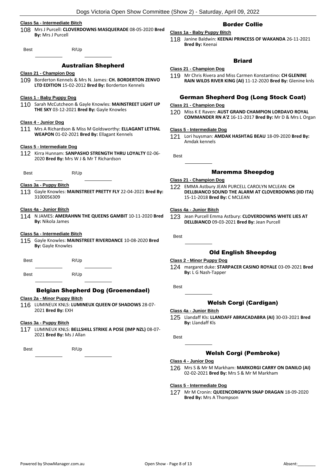#### **Class 5a - Intermediate Bitch**

108 Mrs J Purcell: **CLOVERDOWNS MASQUERADE** 08-05-2020 **Bred By:** Mrs J Purcell

Best R/Up

#### Australian Shepherd

#### **Class 21 - Champion Dog**

109 Borderton Kennels & Mrs N. James: **CH. BORDERTON ZENVO LTD EDITION** 15-02-2012 **Bred By:** Borderton Kennels

#### **Class 1 - Baby Puppy Dog**

110 Sarah McCutcheon & Gayle Knowles: **MAINSTREET LIGHT UP THE SKY** 03-12-2021 **Bred By:** Gayle Knowles

#### **Class 4 - Junior Dog**

111 Mrs A Richardson & Miss M Goldsworthy: **ELLAGANT LETHAL WEAPON** 01-02-2021 **Bred By:** Ellagant Kennels

#### **Class 5 - Intermediate Dog**

Best R/Up

112 Kirra Hunnam: **SANPASHO STRENGTH THRU LOYALTY** 02-06- 2020 **Bred By:** Mrs W J & Mr T Richardson

- **Class 3a - Puppy Bitch** 113 Gayle Knowles: **MAINSTREET PRETTY FLY** 22-04-2021 **Bred By:**
	- 3100056309

#### **Class 4a - Junior Bitch**

114 N JAMES: **AMERAHNN THE QUEENS GAMBIT** 10-11-2020 **Bred By:** Nikola James

#### **Class 5a - Intermediate Bitch**

115 Gayle Knowles: **MAINSTREET RIVERDANCE** 10-08-2020 **Bred By:** Gayle Knowles

Best R/Up

Best R/Up

#### Belgian Shepherd Dog (Groenendael)

#### **Class 2a - Minor Puppy Bitch**

116 LUMINEUX KNLS: **LUMINEUX QUEEN OF SHADOWS** 28-07- 2021 **Bred By:** EXH

#### **Class 3a - Puppy Bitch**

117 LUMINEUX KNLS: **BELLSHILL STRIKE A POSE (IMP NZL)** 08-07- 2021 **Bred By:** Ms J Allan

Best R/Up

### Border Collie

#### **Class 1a - Baby Puppy Bitch** 118 Janine Baldwin: **KEENAI PRINCESS OF WAKANDA** 26-11-2021

#### **Bred By:** Keenai

### **Briard**

#### **Class 21 - Champion Dog**

119 Mr Chris Rivera and Miss Carmen Konstantino: **CH GLENINE RAIN WILDS RIVER KING (AI)** 11-12-2020 **Bred By:** Glenine knls

#### German Shepherd Dog (Long Stock Coat)

#### **Class 21 - Champion Dog**

120 Miss K E Raven: **AUST GRAND CHAMPION LORDAVO ROYAL COMMANDER RN A'Z** 16-11-2017 **Bred By:** Mr D & Mrs L Organ

#### **Class 5 - Intermediate Dog**

121 Lori huysman: **AMDAK HASHTAG BEAU** 18-09-2020 **Bred By:** Amdak kennels

**Best** 

#### Maremma Sheepdog

#### **Class 21 - Champion Dog**

122 EMMA Astbury JEAN PURCELL CAROLYN MCLEAN: **CH DELLBIANCO SOUND THE ALARM AT CLOVERDOWNS (IID ITA)** 15-11-2018 **Bred By:** C MCLEAN

#### **Class 4a - Junior Bitch**

123 Jean Purcell Emma Astbury: **CLOVERDOWNS WHITE LIES AT DELLBIANCO** 09-03-2021 **Bred By:** Jean Purcell

Best

### Old English Sheepdog

#### **Class 2 - Minor Puppy Dog**

124 margaret duke: **STARPACER CASINO ROYALE** 03-09-2021 **Bred By:** L G Nash-Tapper

Best

#### Welsh Corgi (Cardigan)

#### **Class 4a - Junior Bitch**

125 Llandaff Kls: **LLANDAFF ABRACADABRA (AI)** 30-03-2021 **Bred By:** Llandaff Kls

Best

#### Welsh Corgi (Pembroke)

#### **Class 4 - Junior Dog**

126 Mrs S & Mr M Markham: **MARKORGI CARRY ON DANILO (AI)** 02-02-2021 **Bred By:** Mrs S & Mr M Markham

#### **Class 5 - Intermediate Dog**

127 Mr M Cronin: **QUEENCORGWYN SNAP DRAGAN** 18-09-2020 **Bred By:** Mrs A Thompson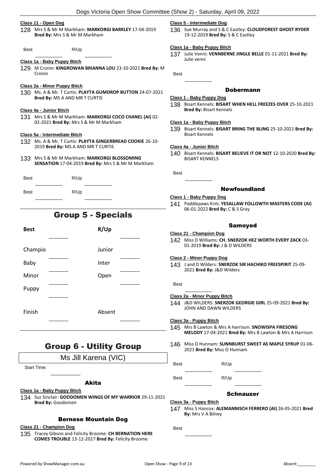#### **Class 11 - Open Dog**

128 Mrs S & Mr M Markham: **MARKORGI BARKLEY** 17-04-2019 **Bred By:** Mrs S & Mr M Markham

Best R/Up

#### **Class 1a - Baby Puppy Bitch**

- 129 M Cronin: **KINGROWAN BRIANNA LOU** 23-10-2021 **Bred By:** M Cronin
- **Class 2a - Minor Puppy Bitch**
- 130 Ms. A & Mr. T Curtis: **PLAYTA GUMDROP BUTTON** 24-07-2021 **Bred By:** MS A AND MR T CURTIS

#### **Class 4a - Junior Bitch**

131 Mrs S & Mr M Markham: **MARKORGI COCO CHANEL (AI)** 02- 02-2021 **Bred By:** Mrs S & Mr M Markham

#### **Class 5a - Intermediate Bitch**

- 132 Ms. A & Mr. T Curtis: **PLAYTA GINGERBREAD COOKIE** 26-10- 2019 **Bred By:** MS A AND MR T CURTIS
- 133 Mrs S & Mr M Markham: **MARKORGI BLOSSOMING SENSATION** 17-04-2019 **Bred By:** Mrs S & Mr M Markham

| <b>Best</b> | R/Up |
|-------------|------|
| <b>Best</b> | R/Up |

## Group 5 - Specials

|  | R/Up<br>Junior<br>Inter<br>Open<br>Absent |
|--|-------------------------------------------|

## Group 6 - Utility Group

## Ms Jill Karena (VIC)

Start Time:

#### Akita

#### **Class 1a - Baby Puppy Bitch**

134 Suz Sinclair: **GOODOMEN WINGS OF MY WARRIOR** 29-11-2021 **Bred By:** Goodomen

#### Bernese Mountain Dog

#### **Class 21 - Champion Dog**

135 Tracey Gibson and Felicity Broome: **CH BERNATION HERE COMES TROUBLE** 13-12-2017 **Bred By:** Felicity Broome

#### **Class 5 - Intermediate Dog**

136 Sue Murray and S & C Eastley: **CLOUDFOREST GHOST RYDER** 19-12-2019 **Bred By:** S & C Eastley

#### **Class 1a - Baby Puppy Bitch**

137 Julie Venni: **VENNBERNE JINGLE BELLE** 01-11-2021 **Bred By:** Julie venni

Best

#### Dobermann

#### **Class 1 - Baby Puppy Dog**

#### **Class 1a - Baby Puppy Bitch**

139 Bisart Kennels: **BISART BRING THE BLING** 25-10-2021 **Bred By:** Bisart Kennels

#### **Class 4a - Junior Bitch**

140 Bisart Kennels: **BISART BELIEVE IT OR NOT** 12-10-2020 **Bred By:** BISART KENNELS

**Best** 

#### Newfoundland

#### **Class 1 - Baby Puppy Dog**

141 Paddlepaws Knls: **YESALLAW FOLLOWTH MASTERS CODE (AI)** 06-01-2022 **Bred By:** C & S Gray

#### Samoyed

#### **Class 21 - Champion Dog**

142 Miss D Williams: **CH. SNERZOK HEZ WORTH EVERY ZACK** 03- 01-2019 **Bred By:** J & D WILDERS

#### **Class 2 - Minor Puppy Dog**

143 J and D Wilders: **SNERZOK SIR HACHIKO FREESPIRIT** 25-09- 2021 **Bred By:** J&D Wilders

Best

#### **Class 2a - Minor Puppy Bitch**

144 J&D WILDERS: **SNERZOK GEORGIE GIRL** 25-09-2021 **Bred By:** JOHN AND DAWN WILDERS

#### **Class 3a - Puppy Bitch**

- 145 Mrs B Lawton & Mrs A Harrison: **SNOWISPA FIRESONG MELODY** 17-04-2021 **Bred By:** Mrs B Lawton & Mrs A Harrison
- 146 Miss O Hunnam: **SUNNBURST SWEET AS MAPLE SYRUP** 01-06- 2021 **Bred By:** Miss O Hunnam

Best R/Up

#### Schnauzer

**Class 3a - Puppy Bitch** 147 Miss S Hancox: **ALEMANNISCH FERRERO (AI)** 26-05-2021 **Bred By:** Mrs V A Bilney

Best

Best R/Up

<sup>138</sup> Bisart Kennels: **BISART WHEN HELL FREEZES OVER** 25-10-2021 **Bred By:** Bisart Kennels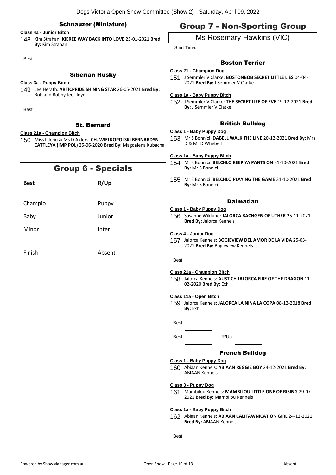#### Schnauzer (Miniature)

#### **Class 4a - Junior Bitch**

148 Kim Strahan: **KIEREE WAY BACK INTO LOVE** 25-01-2021 **Bred By:** Kim Strahan

Best

#### Siberian Husky

#### **Class 3a - Puppy Bitch**

149 Lee Herath: **ARTICPRIDE SHINING STAR** 26-05-2021 **Bred By:** Rob and Bobby-lee Lloyd

Best

#### St. Bernard

#### **Class 21a - Champion Bitch**

150 Miss L Jehu & Ms D Alders: **CH. WIELKOPOLSKI BERNARDYN CATTLEYA (IMP POL)** 25-06-2020 **Bred By:** Magdalena Kubacha

## Group 6 - Specials

| <b>Best</b> |  | R/Up   |  |
|-------------|--|--------|--|
|             |  |        |  |
| Champio     |  | Puppy  |  |
| Baby        |  | Junior |  |
| Minor       |  | Inter  |  |
|             |  |        |  |
| Finish      |  | Absent |  |

## Group 7 - Non-Sporting Group

## Ms Rosemary Hawkins (VIC)

Start Time:

#### Boston Terrier

- **Class 21 - Champion Dog**
	- 151 J Semmler V Clarke: **BOSTONBOB SECRET LITTLE LIES** 04-04- 2021 **Bred By:** J Semmler V Clarke

#### **Class 1a - Baby Puppy Bitch**

152 J Semmler V Clarke: **THE SECRET LIFE OF EVE** 19-12-2021 **Bred By:** J Semmler V Clatke

#### British Bulldog

#### **Class 1 - Baby Puppy Dog**

153 Mr S Bonnici: **DABELL WALK THE LINE** 20-12-2021 **Bred By:** Mrs D & Mr D Whebell

#### **Class 1a - Baby Puppy Bitch**

155 Mr S Bonnici: **BELCHLO PLAYING THE GAME** 31-10-2021 **Bred By:** Mr S Bonnici

### Dalmatian

## **Class 1 - Baby Puppy Dog**

156 Susanne Wiklund: **JALORCA BACHGEN OF UTHER** 25-11-2021 **Bred By:** Jalorca Kennels

#### **Class 4 - Junior Dog**

157 Jalorca Kennels: **BOGIEVIEW DEL AMOR DE LA VIDA** 25-03- 2021 **Bred By:** Bogieview Kennels

#### Best

#### **Class 21a - Champion Bitch**

158 Jalorca Kennels: **AUST CH JALORCA FIRE OF THE DRAGON** 11- 02-2020 **Bred By:** Exh

#### **Class 11a - Open Bitch**

159 Jalorca Kennels: **JALORCA LA NINA LA COPA** 08-12-2018 **Bred By:** Exh

Best

#### French Bulldog

#### **Class 1 - Baby Puppy Dog**

160 Abiaan Kennels: **ABIAAN REGGIE BOY** 24-12-2021 **Bred By:** ABIAAN Kennels

#### **Class 3 - Puppy Dog**

161 Mambilou Kennels: **MAMBILOU LITTLE ONE OF RISING** 29-07- 2021 **Bred By:** Mambilou Kennels

#### **Class 1a - Baby Puppy Bitch**

162 Abiaan Kennels: **ABIAAN CALIFAWNICATION GIRL** 24-12-2021 **Bred By:** ABIAAN Kennels

Best

Best R/Up

<sup>154</sup> Mr S Bonnici: **BELCHLO KEEP YA PANTS ON** 31-10-2021 **Bred By:** Mr S Bonnici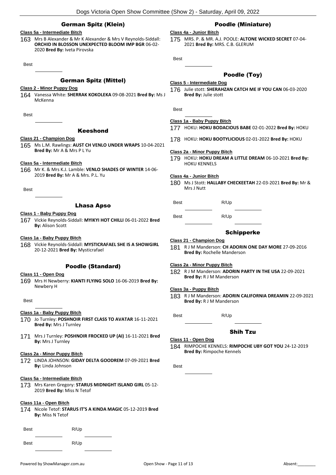#### German Spitz (Klein)

#### **Class 5a - Intermediate Bitch**

163 Mrs B Alexander & Mr K Alexander & Mrs V Reynolds-Siddall: **ORCHID IN BLOSSON UNEXPECTED BLOOM IMP BGR** 06-02- 2020 **Bred By:** Iveta Pirovska

Best

#### German Spitz (Mittel)

#### **Class 2 - Minor Puppy Dog**

164 Vanessa White: **SHERRAK KOKOLEKA** 09-08-2021 **Bred By:** Ms J McKenna

**Best** 

#### Keeshond

#### **Class 21 - Champion Dog**

165 Ms L.M. Rawlings: **AUST CH VENLO UNDER WRAPS** 10-04-2021 **Bred By:** Mr A & Mrs P L Yu

#### **Class 5a - Intermediate Bitch**

166 Mr K. & Mrs K.J. Lamble: **VENLO SHADES OF WINTER** 14-06- 2019 **Bred By:** Mr A & Mrs. P.L. Yu

Best

#### Lhasa Apso

#### **Class 1 - Baby Puppy Dog**

167 Vickie Reynolds-Siddall: **MYIKYI HOT CHILLI** 06-01-2022 **Bred By:** Alison Scott

**Class 1a - Baby Puppy Bitch**

168 Vickie Reynolds-Siddall: **MYSTICRAFAEL SHE IS A SHOWGIRL** 20-12-2021 **Bred By:** Mysticrafael

#### Poodle (Standard)

#### **Class 11 - Open Dog**

169 Mrs H Newberry: **KIANTI FLYING SOLO** 16-06-2019 **Bred By:** Newbery H

Best

#### **Class 1a - Baby Puppy Bitch**

- 170 Jo Turnley: **POSHNOIR FIRST CLASS TO AVATAR** 16-11-2021 **Bred By:** Mrs J Turnley
- 171 Mrs J Turnley: **POSHNOIR FROCKED UP (AI)** 16-11-2021 **Bred By:** Mrs J Turnley

#### **Class 2a - Minor Puppy Bitch**

172 LINDA JOHNSON: **GIDAY DELTA GOODREM** 07-09-2021 **Bred By:** Linda Johnson

#### **Class 5a - Intermediate Bitch**

173 Mrs Karen Gregory: **STARUS MIDNIGHT ISLAND GIRL** 05-12- 2019 **Bred By:** Miss N Tetof

#### **Class 11a - Open Bitch**

174 Nicole Tetof: **STARUS IT'S A KINDA MAGIC** 05-12-2019 **Bred By:** Miss N Tetof

| <b>Best</b> | R/Up |
|-------------|------|
| <b>Best</b> | R/Up |

#### Poodle (Miniature)

#### **Class 4a - Junior Bitch**

175 MRS. P. & MR. A.J. POOLE: **ALTONE WICKED SECRET** 07-04- 2021 **Bred By:** MRS. C.B. GLERUM

Best

#### Poodle (Toy)

#### **Class 5 - Intermediate Dog**

Best

#### **Class 1a - Baby Puppy Bitch**

- 177 HOKU: **HOKU BODACIOUS BABE** 02-01-2022 **Bred By:** HOKU
- 178 HOKU: **HOKU BOOTYLICIOUS** 02-01-2022 **Bred By:** HOKU

#### **Class 2a - Minor Puppy Bitch**

179 HOKU: **HOKU DREAM A LITTLE DREAM** 06-10-2021 **Bred By:** HOKU KENNELS

#### **Class 4a - Junior Bitch**

180 Ms J Stott: **HALLABY CHECKEETAH** 22-03-2021 **Bred By:** Mr & Mrs J Nutt

Best R/Up

Best R/Up

#### Schipperke

#### **Class 21 - Champion Dog**

181 R J M Manderson: **CH ADORIN ONE DAY MORE** 27-09-2016 **Bred By:** Rochelle Manderson

#### **Class 2a - Minor Puppy Bitch**

182 R J M Manderson: **ADORIN PARTY IN THE USA** 22-09-2021 **Bred By:** R J M Manderson

#### **Class 3a - Puppy Bitch**

183 R J M Manderson: **ADORIN CALIFORNIA DREAMIN** 22-09-2021 **Bred By:** R J M Manderson

Best R/Up

#### Shih Tzu

#### **Class 11 - Open Dog**

184 RIMPOCHE KENNELS: **RIMPOCHE UBY GOT YOU** 24-12-2019 **Bred By:** Rimpoche Kennels

Best

<sup>176</sup> Julie stott: **SHERAHZAN CATCH ME IF YOU CAN** 06-03-2020 **Bred By:** Julie stott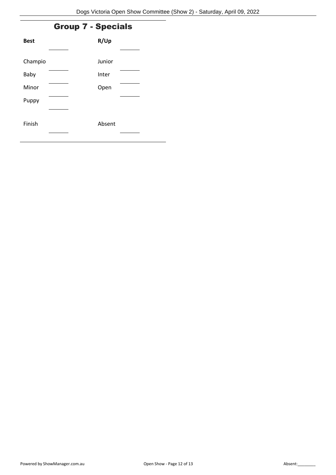## Group 7 - Specials

| <b>Best</b> | R/Up   |  |
|-------------|--------|--|
|             |        |  |
| Champio     | Junior |  |
| Baby        | Inter  |  |
| Minor       | Open   |  |
| Puppy       |        |  |
|             |        |  |
| Finish      | Absent |  |
|             |        |  |